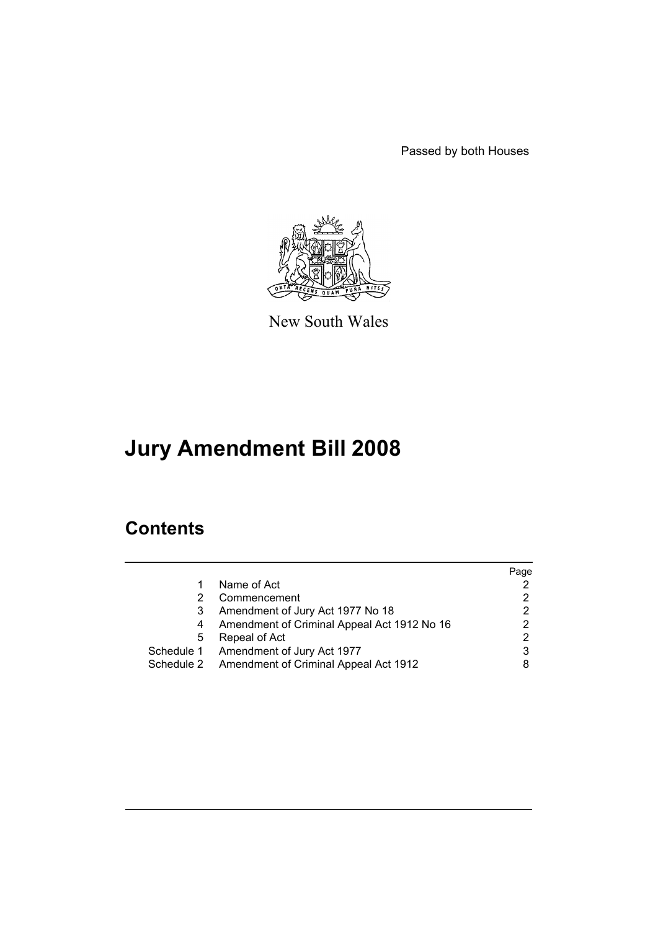Passed by both Houses



New South Wales

# **Jury Amendment Bill 2008**

# **Contents**

|            |                                             | Page |
|------------|---------------------------------------------|------|
|            | Name of Act                                 |      |
|            | Commencement                                |      |
|            | Amendment of Jury Act 1977 No 18            |      |
|            | Amendment of Criminal Appeal Act 1912 No 16 |      |
| 5          | Repeal of Act                               |      |
|            | Schedule 1 Amendment of Jury Act 1977       |      |
| Schedule 2 | Amendment of Criminal Appeal Act 1912       |      |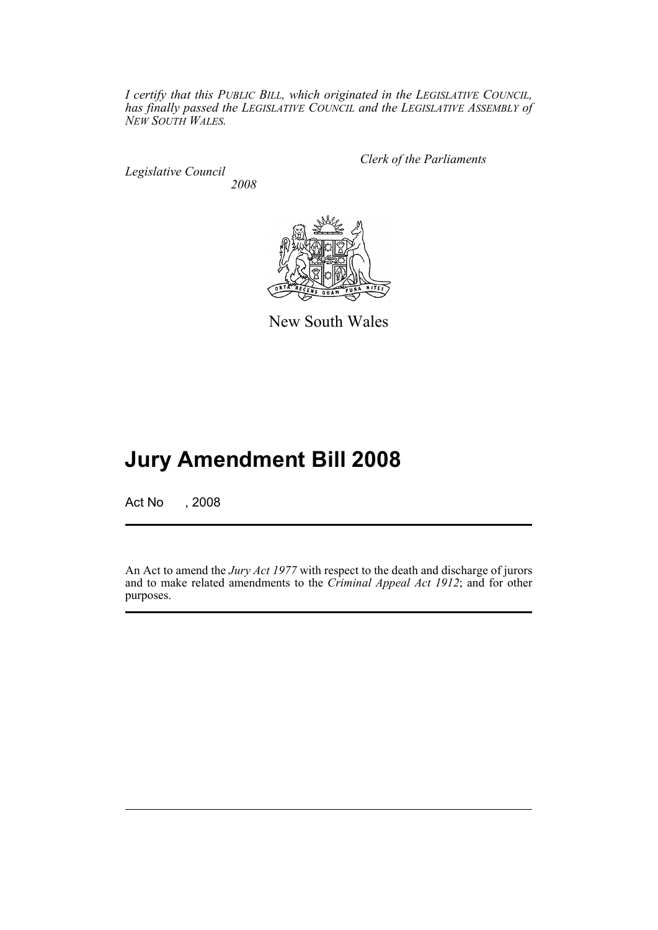*I certify that this PUBLIC BILL, which originated in the LEGISLATIVE COUNCIL, has finally passed the LEGISLATIVE COUNCIL and the LEGISLATIVE ASSEMBLY of NEW SOUTH WALES.*

*Legislative Council 2008* *Clerk of the Parliaments*



New South Wales

# **Jury Amendment Bill 2008**

Act No , 2008

An Act to amend the *Jury Act 1977* with respect to the death and discharge of jurors and to make related amendments to the *Criminal Appeal Act 1912*; and for other purposes.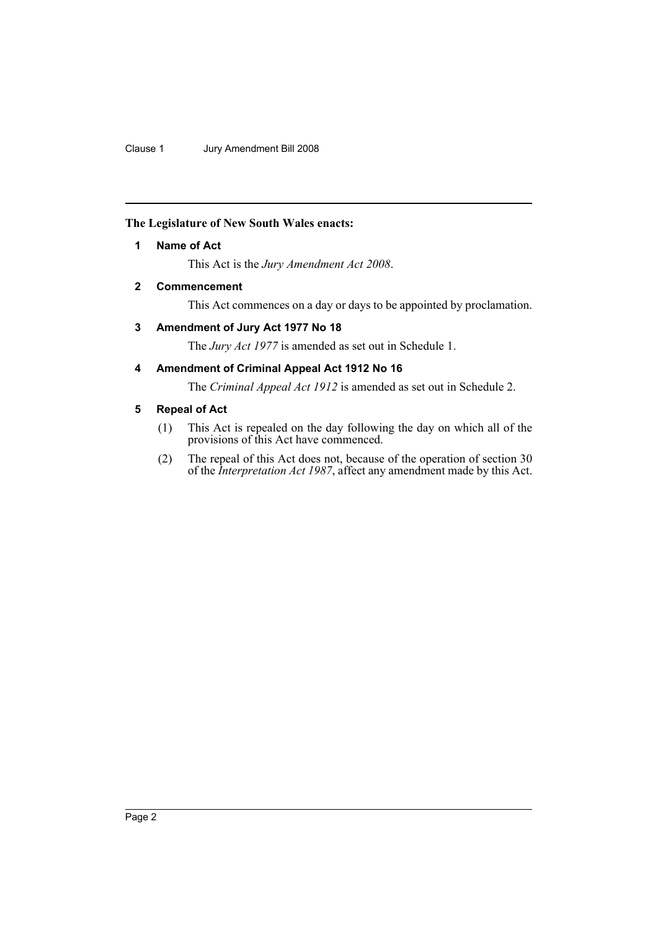## <span id="page-2-0"></span>**The Legislature of New South Wales enacts:**

## **1 Name of Act**

This Act is the *Jury Amendment Act 2008*.

## <span id="page-2-1"></span>**2 Commencement**

This Act commences on a day or days to be appointed by proclamation.

## <span id="page-2-2"></span>**3 Amendment of Jury Act 1977 No 18**

The *Jury Act 1977* is amended as set out in Schedule 1.

## <span id="page-2-3"></span>**4 Amendment of Criminal Appeal Act 1912 No 16**

The *Criminal Appeal Act 1912* is amended as set out in Schedule 2.

## <span id="page-2-4"></span>**5 Repeal of Act**

- (1) This Act is repealed on the day following the day on which all of the provisions of this Act have commenced.
- (2) The repeal of this Act does not, because of the operation of section 30 of the *Interpretation Act 1987*, affect any amendment made by this Act.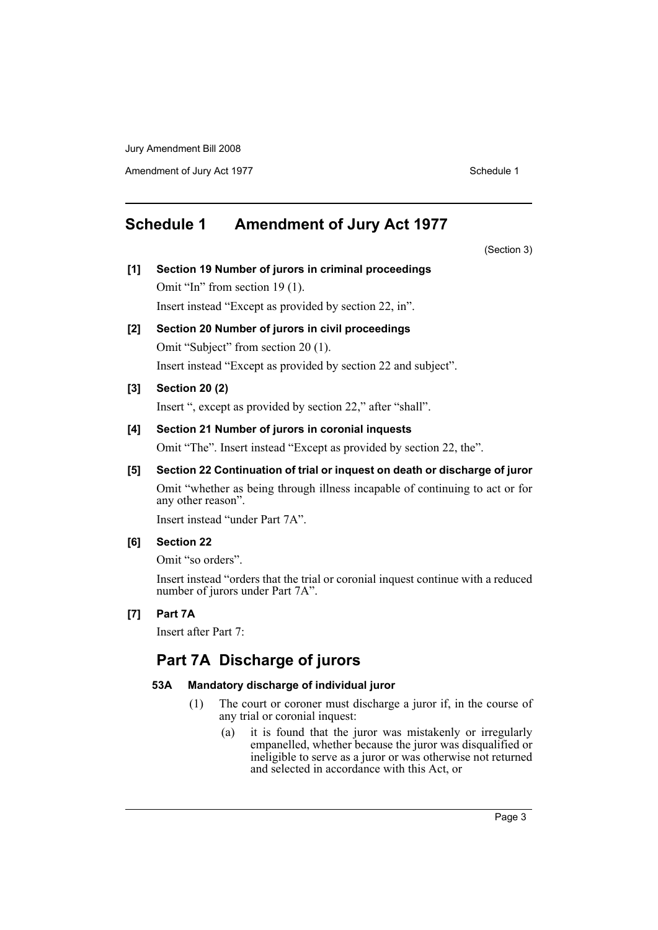Amendment of Jury Act 1977 Schedule 1

# <span id="page-3-0"></span>**Schedule 1 Amendment of Jury Act 1977**

(Section 3)

- **[1] Section 19 Number of jurors in criminal proceedings** Omit "In" from section 19 (1). Insert instead "Except as provided by section 22, in".
- **[2] Section 20 Number of jurors in civil proceedings** Omit "Subject" from section 20 (1). Insert instead "Except as provided by section 22 and subject".

#### **[3] Section 20 (2)**

Insert ", except as provided by section 22," after "shall".

## **[4] Section 21 Number of jurors in coronial inquests**

Omit "The". Insert instead "Except as provided by section 22, the".

## **[5] Section 22 Continuation of trial or inquest on death or discharge of juror**

Omit "whether as being through illness incapable of continuing to act or for any other reason".

Insert instead "under Part 7A".

## **[6] Section 22**

Omit "so orders".

Insert instead "orders that the trial or coronial inquest continue with a reduced number of jurors under Part 7A".

### **[7] Part 7A**

Insert after Part 7:

## **Part 7A Discharge of jurors**

#### **53A Mandatory discharge of individual juror**

- (1) The court or coroner must discharge a juror if, in the course of any trial or coronial inquest:
	- (a) it is found that the juror was mistakenly or irregularly empanelled, whether because the juror was disqualified or ineligible to serve as a juror or was otherwise not returned and selected in accordance with this Act, or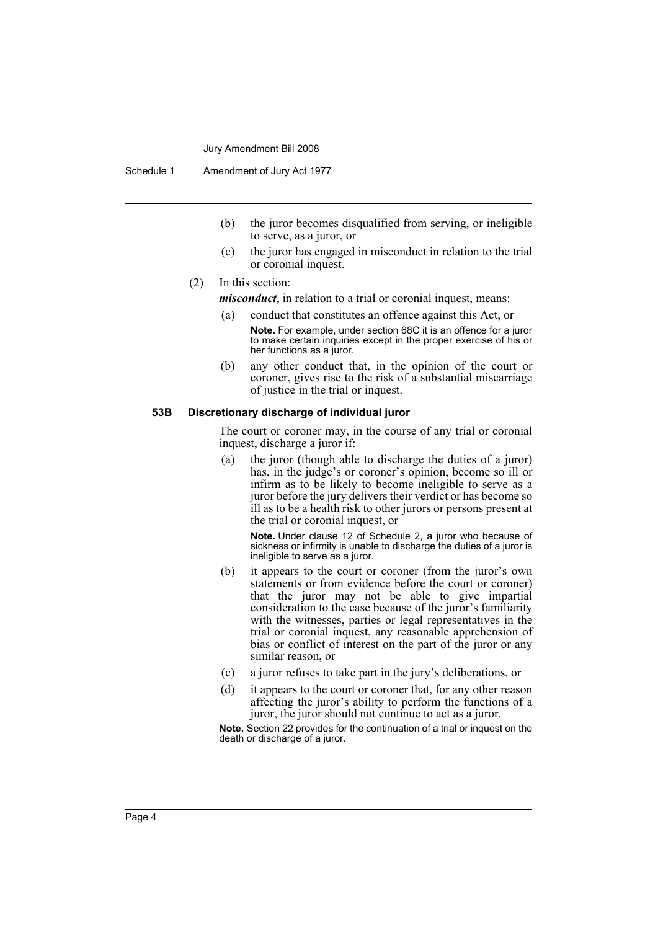Schedule 1 Amendment of Jury Act 1977

- (b) the juror becomes disqualified from serving, or ineligible to serve, as a juror, or
- (c) the juror has engaged in misconduct in relation to the trial or coronial inquest.

#### (2) In this section:

*misconduct*, in relation to a trial or coronial inquest, means:

- (a) conduct that constitutes an offence against this Act, or
	- **Note.** For example, under section 68C it is an offence for a juror to make certain inquiries except in the proper exercise of his or her functions as a juror.
- (b) any other conduct that, in the opinion of the court or coroner, gives rise to the risk of a substantial miscarriage of justice in the trial or inquest.

#### **53B Discretionary discharge of individual juror**

The court or coroner may, in the course of any trial or coronial inquest, discharge a juror if:

(a) the juror (though able to discharge the duties of a juror) has, in the judge's or coroner's opinion, become so ill or infirm as to be likely to become ineligible to serve as a juror before the jury delivers their verdict or has become so ill as to be a health risk to other jurors or persons present at the trial or coronial inquest, or

**Note.** Under clause 12 of Schedule 2, a juror who because of sickness or infirmity is unable to discharge the duties of a juror is ineligible to serve as a juror.

- (b) it appears to the court or coroner (from the juror's own statements or from evidence before the court or coroner) that the juror may not be able to give impartial consideration to the case because of the juror's familiarity with the witnesses, parties or legal representatives in the trial or coronial inquest, any reasonable apprehension of bias or conflict of interest on the part of the juror or any similar reason, or
- (c) a juror refuses to take part in the jury's deliberations, or
- (d) it appears to the court or coroner that, for any other reason affecting the juror's ability to perform the functions of a juror, the juror should not continue to act as a juror.

**Note.** Section 22 provides for the continuation of a trial or inquest on the death or discharge of a juror.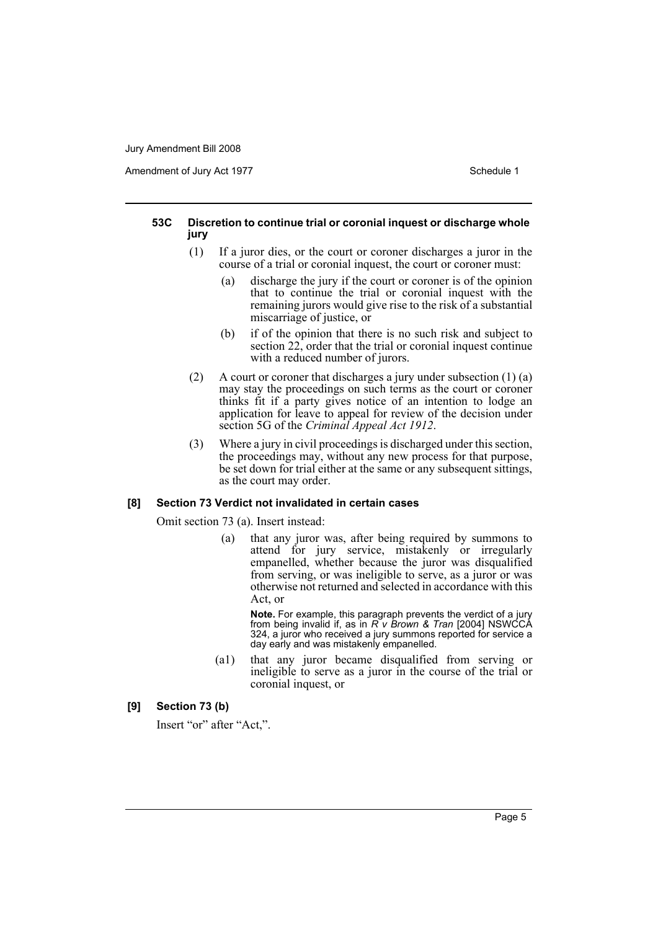Amendment of Jury Act 1977 **Schedule 1** Schedule 1

#### **53C Discretion to continue trial or coronial inquest or discharge whole jury**

- (1) If a juror dies, or the court or coroner discharges a juror in the course of a trial or coronial inquest, the court or coroner must:
	- (a) discharge the jury if the court or coroner is of the opinion that to continue the trial or coronial inquest with the remaining jurors would give rise to the risk of a substantial miscarriage of justice, or
	- (b) if of the opinion that there is no such risk and subject to section 22, order that the trial or coronial inquest continue with a reduced number of jurors.
- (2) A court or coroner that discharges a jury under subsection (1) (a) may stay the proceedings on such terms as the court or coroner thinks fit if a party gives notice of an intention to lodge an application for leave to appeal for review of the decision under section 5G of the *Criminal Appeal Act 1912*.
- (3) Where a jury in civil proceedings is discharged under this section, the proceedings may, without any new process for that purpose, be set down for trial either at the same or any subsequent sittings, as the court may order.

#### **[8] Section 73 Verdict not invalidated in certain cases**

Omit section 73 (a). Insert instead:

(a) that any juror was, after being required by summons to attend for jury service, mistakenly or irregularly empanelled, whether because the juror was disqualified from serving, or was ineligible to serve, as a juror or was otherwise not returned and selected in accordance with this Act, or

**Note.** For example, this paragraph prevents the verdict of a jury from being invalid if, as in *R v Brown & Tran* [2004] NSWCCA 324, a juror who received a jury summons reported for service a day early and was mistakenly empanelled.

(a1) that any juror became disqualified from serving or ineligible to serve as a juror in the course of the trial or coronial inquest, or

## **[9] Section 73 (b)**

Insert "or" after "Act,".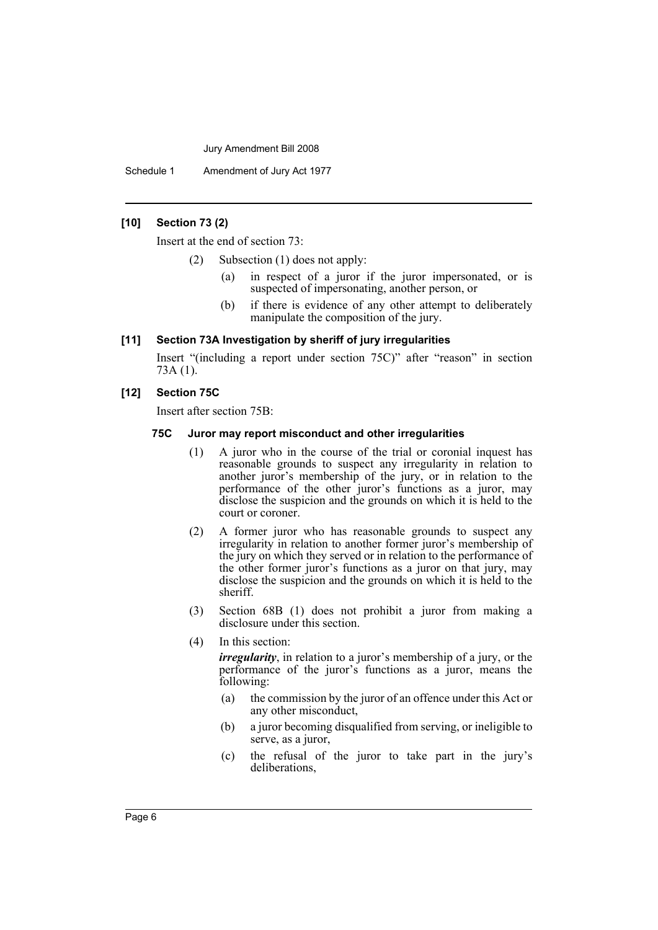Schedule 1 Amendment of Jury Act 1977

### **[10] Section 73 (2)**

Insert at the end of section 73:

- (2) Subsection (1) does not apply:
	- (a) in respect of a juror if the juror impersonated, or is suspected of impersonating, another person, or
	- (b) if there is evidence of any other attempt to deliberately manipulate the composition of the jury.

#### **[11] Section 73A Investigation by sheriff of jury irregularities**

Insert "(including a report under section 75C)" after "reason" in section 73A (1).

### **[12] Section 75C**

Insert after section 75B:

#### **75C Juror may report misconduct and other irregularities**

- (1) A juror who in the course of the trial or coronial inquest has reasonable grounds to suspect any irregularity in relation to another juror's membership of the jury, or in relation to the performance of the other juror's functions as a juror, may disclose the suspicion and the grounds on which it is held to the court or coroner.
- (2) A former juror who has reasonable grounds to suspect any irregularity in relation to another former juror's membership of the jury on which they served or in relation to the performance of the other former juror's functions as a juror on that jury, may disclose the suspicion and the grounds on which it is held to the sheriff.
- (3) Section 68B (1) does not prohibit a juror from making a disclosure under this section.
- (4) In this section:

*irregularity*, in relation to a juror's membership of a jury, or the performance of the juror's functions as a juror, means the following:

- (a) the commission by the juror of an offence under this Act or any other misconduct,
- (b) a juror becoming disqualified from serving, or ineligible to serve, as a juror,
- (c) the refusal of the juror to take part in the jury's deliberations,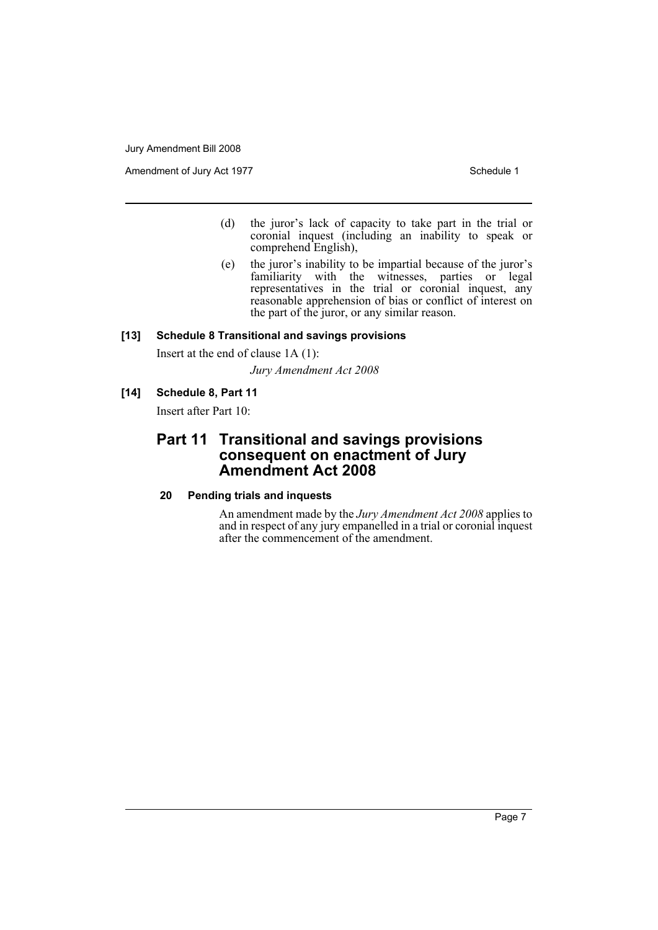Amendment of Jury Act 1977 Schedule 1

- (d) the juror's lack of capacity to take part in the trial or coronial inquest (including an inability to speak or comprehend English),
- (e) the juror's inability to be impartial because of the juror's familiarity with the witnesses, parties or legal representatives in the trial or coronial inquest, any reasonable apprehension of bias or conflict of interest on the part of the juror, or any similar reason.

## **[13] Schedule 8 Transitional and savings provisions**

Insert at the end of clause 1A (1):

*Jury Amendment Act 2008*

## **[14] Schedule 8, Part 11**

Insert after Part 10:

## **Part 11 Transitional and savings provisions consequent on enactment of Jury Amendment Act 2008**

## **20 Pending trials and inquests**

An amendment made by the *Jury Amendment Act 2008* applies to and in respect of any jury empanelled in a trial or coronial inquest after the commencement of the amendment.